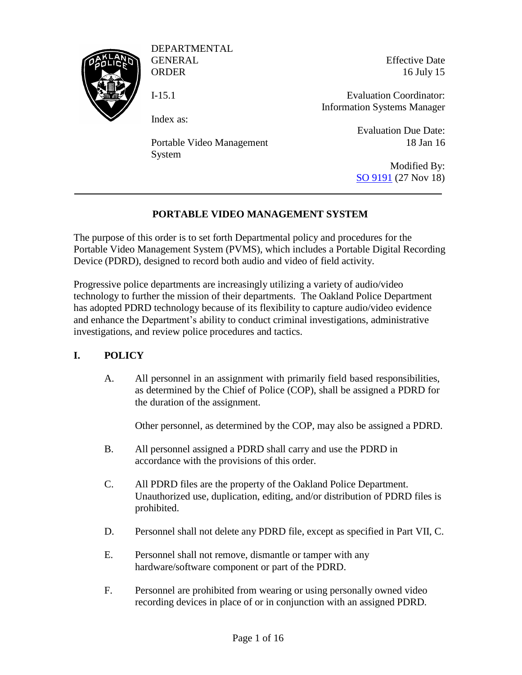

DEPARTMENTAL GENERAL

**ORDER** I-15.1

Index as:

Portable Video Management System

Effective Date 16 July 15

Evaluation Coordinator: Information Systems Manager

> Evaluation Due Date: 18 Jan 16

Modified By: [SO 9191](https://powerdms.com/link/IDS/document/?id=1547959) (27 Nov 18)

# **PORTABLE VIDEO MANAGEMENT SYSTEM**

The purpose of this order is to set forth Departmental policy and procedures for the Portable Video Management System (PVMS), which includes a Portable Digital Recording Device (PDRD), designed to record both audio and video of field activity.

Progressive police departments are increasingly utilizing a variety of audio/video technology to further the mission of their departments. The Oakland Police Department has adopted PDRD technology because of its flexibility to capture audio/video evidence and enhance the Department's ability to conduct criminal investigations, administrative investigations, and review police procedures and tactics.

### **I. POLICY**

A. All personnel in an assignment with primarily field based responsibilities, as determined by the Chief of Police (COP), shall be assigned a PDRD for the duration of the assignment.

Other personnel, as determined by the COP, may also be assigned a PDRD.

- B. All personnel assigned a PDRD shall carry and use the PDRD in accordance with the provisions of this order.
- C. All PDRD files are the property of the Oakland Police Department. Unauthorized use, duplication, editing, and/or distribution of PDRD files is prohibited.
- D. Personnel shall not delete any PDRD file, except as specified in Part VII, C.
- E. Personnel shall not remove, dismantle or tamper with any hardware/software component or part of the PDRD.
- F. Personnel are prohibited from wearing or using personally owned video recording devices in place of or in conjunction with an assigned PDRD.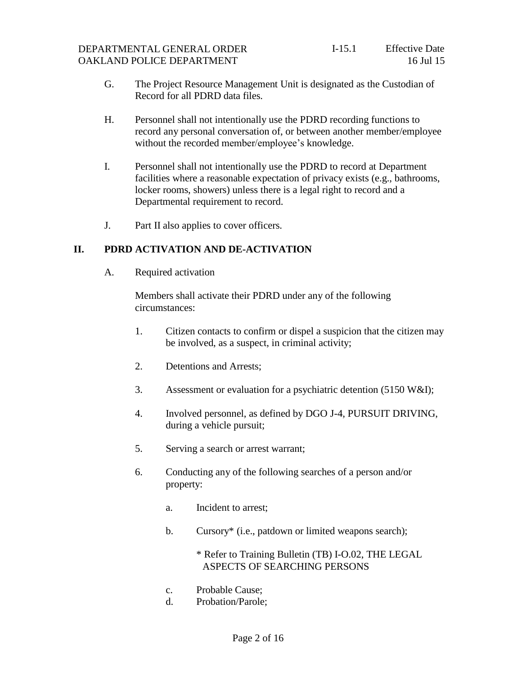- G. The Project Resource Management Unit is designated as the Custodian of Record for all PDRD data files.
- H. Personnel shall not intentionally use the PDRD recording functions to record any personal conversation of, or between another member/employee without the recorded member/employee's knowledge.
- I. Personnel shall not intentionally use the PDRD to record at Department facilities where a reasonable expectation of privacy exists (e.g., bathrooms, locker rooms, showers) unless there is a legal right to record and a Departmental requirement to record.
- J. Part II also applies to cover officers.

## **II. PDRD ACTIVATION AND DE-ACTIVATION**

A. Required activation

Members shall activate their PDRD under any of the following circumstances:

- 1. Citizen contacts to confirm or dispel a suspicion that the citizen may be involved, as a suspect, in criminal activity;
- 2. Detentions and Arrests;
- 3. Assessment or evaluation for a psychiatric detention (5150 W&I);
- 4. Involved personnel, as defined by DGO J-4, PURSUIT DRIVING, during a vehicle pursuit;
- 5. Serving a search or arrest warrant;
- 6. Conducting any of the following searches of a person and/or property:
	- a. Incident to arrest;
	- b. Cursory\* (i.e., patdown or limited weapons search);

\* Refer to Training Bulletin (TB) I-O.02, THE LEGAL ASPECTS OF SEARCHING PERSONS

- c. Probable Cause;
- d. Probation/Parole;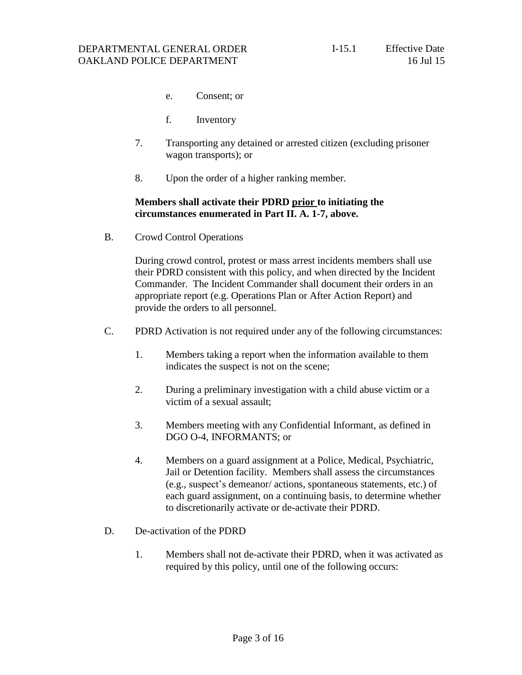- e. Consent; or
- f. Inventory
- 7. Transporting any detained or arrested citizen (excluding prisoner wagon transports); or
- 8. Upon the order of a higher ranking member.

#### **Members shall activate their PDRD prior to initiating the circumstances enumerated in Part II. A. 1-7, above.**

B. Crowd Control Operations

During crowd control, protest or mass arrest incidents members shall use their PDRD consistent with this policy, and when directed by the Incident Commander. The Incident Commander shall document their orders in an appropriate report (e.g. Operations Plan or After Action Report) and provide the orders to all personnel.

- C. PDRD Activation is not required under any of the following circumstances:
	- 1. Members taking a report when the information available to them indicates the suspect is not on the scene;
	- 2. During a preliminary investigation with a child abuse victim or a victim of a sexual assault;
	- 3. Members meeting with any Confidential Informant, as defined in DGO O-4, INFORMANTS; or
	- 4. Members on a guard assignment at a Police, Medical, Psychiatric, Jail or Detention facility. Members shall assess the circumstances (e.g., suspect's demeanor/ actions, spontaneous statements, etc.) of each guard assignment, on a continuing basis, to determine whether to discretionarily activate or de-activate their PDRD.
- D. De-activation of the PDRD
	- 1. Members shall not de-activate their PDRD, when it was activated as required by this policy, until one of the following occurs: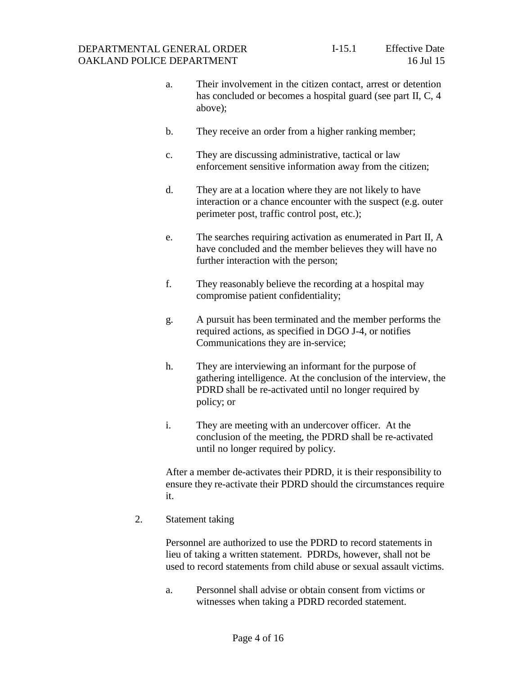- a. Their involvement in the citizen contact, arrest or detention has concluded or becomes a hospital guard (see part II, C, 4 above);
- b. They receive an order from a higher ranking member;
- c. They are discussing administrative, tactical or law enforcement sensitive information away from the citizen;
- d. They are at a location where they are not likely to have interaction or a chance encounter with the suspect (e.g. outer perimeter post, traffic control post, etc.);
- e. The searches requiring activation as enumerated in Part II, A have concluded and the member believes they will have no further interaction with the person;
- f. They reasonably believe the recording at a hospital may compromise patient confidentiality;
- g. A pursuit has been terminated and the member performs the required actions, as specified in DGO J-4, or notifies Communications they are in-service;
- h. They are interviewing an informant for the purpose of gathering intelligence. At the conclusion of the interview, the PDRD shall be re-activated until no longer required by policy; or
- i. They are meeting with an undercover officer. At the conclusion of the meeting, the PDRD shall be re-activated until no longer required by policy.

After a member de-activates their PDRD, it is their responsibility to ensure they re-activate their PDRD should the circumstances require it.

2. Statement taking

Personnel are authorized to use the PDRD to record statements in lieu of taking a written statement. PDRDs, however, shall not be used to record statements from child abuse or sexual assault victims.

a. Personnel shall advise or obtain consent from victims or witnesses when taking a PDRD recorded statement.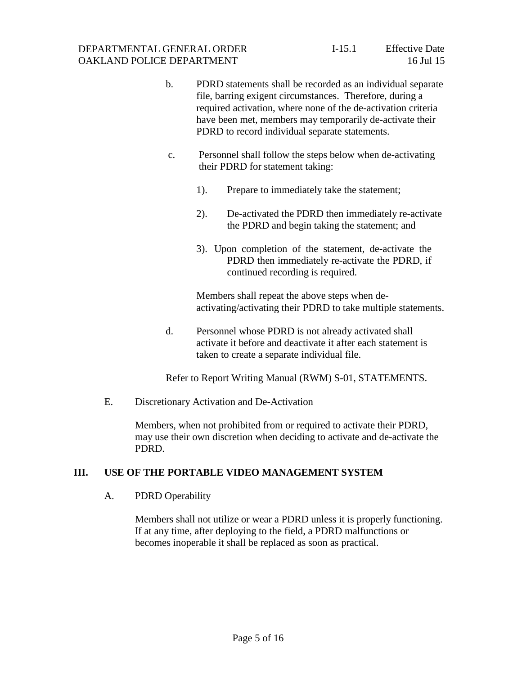- b. PDRD statements shall be recorded as an individual separate file, barring exigent circumstances. Therefore, during a required activation, where none of the de-activation criteria have been met, members may temporarily de-activate their PDRD to record individual separate statements.
- c. Personnel shall follow the steps below when de-activating their PDRD for statement taking:
	- 1). Prepare to immediately take the statement;
	- 2). De-activated the PDRD then immediately re-activate the PDRD and begin taking the statement; and
	- 3). Upon completion of the statement, de-activate the PDRD then immediately re-activate the PDRD, if continued recording is required.

Members shall repeat the above steps when deactivating/activating their PDRD to take multiple statements.

d. Personnel whose PDRD is not already activated shall activate it before and deactivate it after each statement is taken to create a separate individual file.

Refer to Report Writing Manual (RWM) S-01, STATEMENTS.

E. Discretionary Activation and De-Activation

Members, when not prohibited from or required to activate their PDRD, may use their own discretion when deciding to activate and de-activate the PDRD.

### **III. USE OF THE PORTABLE VIDEO MANAGEMENT SYSTEM**

### A. PDRD Operability

Members shall not utilize or wear a PDRD unless it is properly functioning. If at any time, after deploying to the field, a PDRD malfunctions or becomes inoperable it shall be replaced as soon as practical.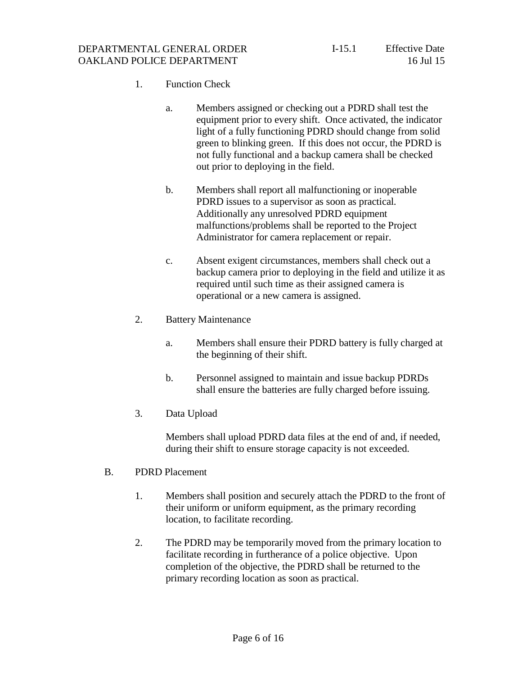#### DEPARTMENTAL GENERAL ORDER OAKLAND POLICE DEPARTMENT

## 1. Function Check

- a. Members assigned or checking out a PDRD shall test the equipment prior to every shift. Once activated, the indicator light of a fully functioning PDRD should change from solid green to blinking green. If this does not occur, the PDRD is not fully functional and a backup camera shall be checked out prior to deploying in the field.
- b. Members shall report all malfunctioning or inoperable PDRD issues to a supervisor as soon as practical. Additionally any unresolved PDRD equipment malfunctions/problems shall be reported to the Project Administrator for camera replacement or repair.
- c. Absent exigent circumstances, members shall check out a backup camera prior to deploying in the field and utilize it as required until such time as their assigned camera is operational or a new camera is assigned.
- 2. Battery Maintenance
	- a. Members shall ensure their PDRD battery is fully charged at the beginning of their shift.
	- b. Personnel assigned to maintain and issue backup PDRDs shall ensure the batteries are fully charged before issuing.
- 3. Data Upload

Members shall upload PDRD data files at the end of and, if needed, during their shift to ensure storage capacity is not exceeded.

- B. PDRD Placement
	- 1. Members shall position and securely attach the PDRD to the front of their uniform or uniform equipment, as the primary recording location, to facilitate recording.
	- 2. The PDRD may be temporarily moved from the primary location to facilitate recording in furtherance of a police objective. Upon completion of the objective, the PDRD shall be returned to the primary recording location as soon as practical.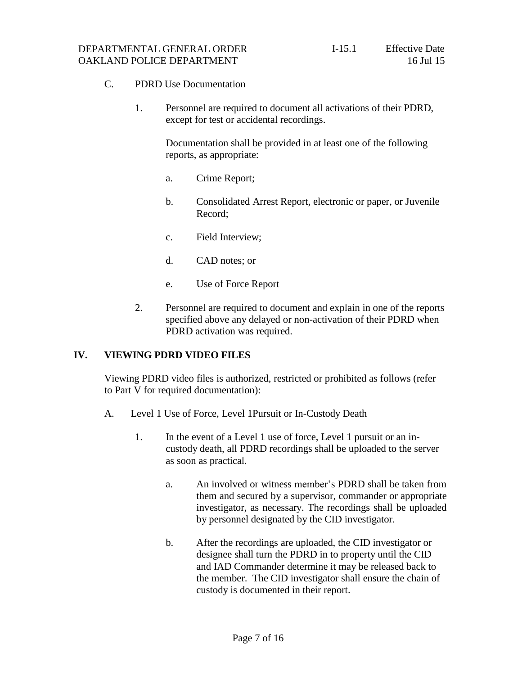- C. PDRD Use Documentation
	- 1. Personnel are required to document all activations of their PDRD, except for test or accidental recordings.

Documentation shall be provided in at least one of the following reports, as appropriate:

- a. Crime Report;
- b. Consolidated Arrest Report, electronic or paper, or Juvenile Record;
- c. Field Interview;
- d. CAD notes; or
- e. Use of Force Report
- 2. Personnel are required to document and explain in one of the reports specified above any delayed or non-activation of their PDRD when PDRD activation was required.

#### **IV. VIEWING PDRD VIDEO FILES**

Viewing PDRD video files is authorized, restricted or prohibited as follows (refer to Part V for required documentation):

- A. Level 1 Use of Force, Level 1Pursuit or In-Custody Death
	- 1. In the event of a Level 1 use of force, Level 1 pursuit or an incustody death, all PDRD recordings shall be uploaded to the server as soon as practical.
		- a. An involved or witness member's PDRD shall be taken from them and secured by a supervisor, commander or appropriate investigator, as necessary. The recordings shall be uploaded by personnel designated by the CID investigator.
		- b. After the recordings are uploaded, the CID investigator or designee shall turn the PDRD in to property until the CID and IAD Commander determine it may be released back to the member. The CID investigator shall ensure the chain of custody is documented in their report.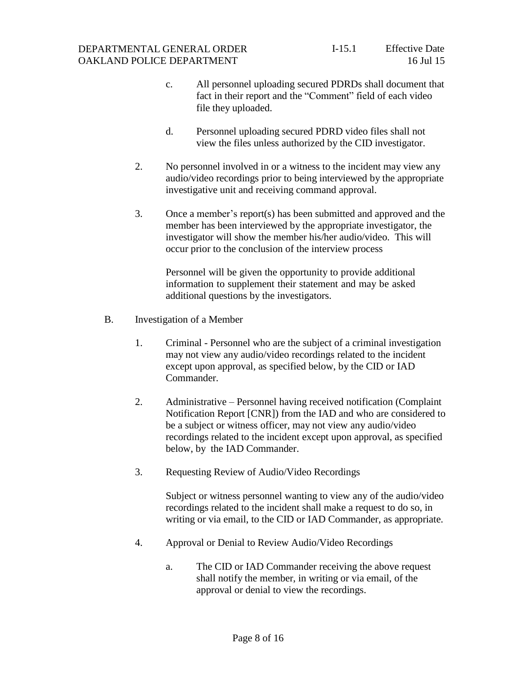#### DEPARTMENTAL GENERAL ORDER OAKLAND POLICE DEPARTMENT

- c. All personnel uploading secured PDRDs shall document that fact in their report and the "Comment" field of each video file they uploaded.
- d. Personnel uploading secured PDRD video files shall not view the files unless authorized by the CID investigator.
- 2. No personnel involved in or a witness to the incident may view any audio/video recordings prior to being interviewed by the appropriate investigative unit and receiving command approval.
- 3. Once a member's report(s) has been submitted and approved and the member has been interviewed by the appropriate investigator, the investigator will show the member his/her audio/video. This will occur prior to the conclusion of the interview process

Personnel will be given the opportunity to provide additional information to supplement their statement and may be asked additional questions by the investigators.

- B. Investigation of a Member
	- 1. Criminal Personnel who are the subject of a criminal investigation may not view any audio/video recordings related to the incident except upon approval, as specified below, by the CID or IAD Commander.
	- 2. Administrative Personnel having received notification (Complaint Notification Report [CNR]) from the IAD and who are considered to be a subject or witness officer, may not view any audio/video recordings related to the incident except upon approval, as specified below, by the IAD Commander.
	- 3. Requesting Review of Audio/Video Recordings

Subject or witness personnel wanting to view any of the audio/video recordings related to the incident shall make a request to do so, in writing or via email, to the CID or IAD Commander, as appropriate.

- 4. Approval or Denial to Review Audio/Video Recordings
	- a. The CID or IAD Commander receiving the above request shall notify the member, in writing or via email, of the approval or denial to view the recordings.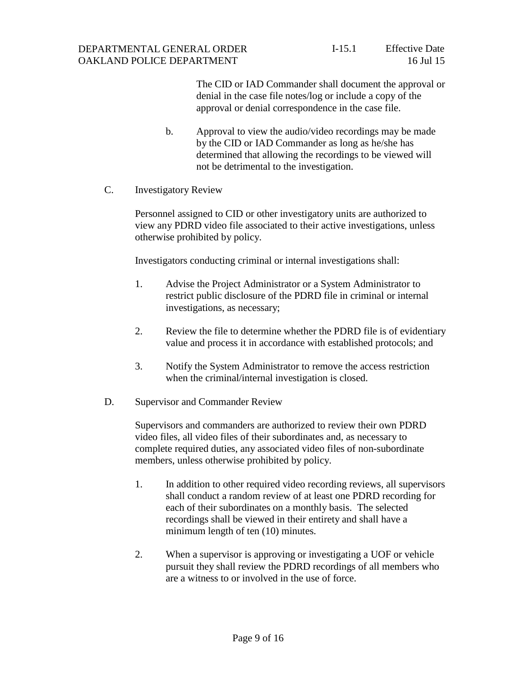The CID or IAD Commander shall document the approval or denial in the case file notes/log or include a copy of the approval or denial correspondence in the case file.

- b. Approval to view the audio/video recordings may be made by the CID or IAD Commander as long as he/she has determined that allowing the recordings to be viewed will not be detrimental to the investigation.
- C. Investigatory Review

Personnel assigned to CID or other investigatory units are authorized to view any PDRD video file associated to their active investigations, unless otherwise prohibited by policy.

Investigators conducting criminal or internal investigations shall:

- 1. Advise the Project Administrator or a System Administrator to restrict public disclosure of the PDRD file in criminal or internal investigations, as necessary;
- 2. Review the file to determine whether the PDRD file is of evidentiary value and process it in accordance with established protocols; and
- 3. Notify the System Administrator to remove the access restriction when the criminal/internal investigation is closed.
- D. Supervisor and Commander Review

Supervisors and commanders are authorized to review their own PDRD video files, all video files of their subordinates and, as necessary to complete required duties, any associated video files of non-subordinate members, unless otherwise prohibited by policy.

- 1. In addition to other required video recording reviews, all supervisors shall conduct a random review of at least one PDRD recording for each of their subordinates on a monthly basis. The selected recordings shall be viewed in their entirety and shall have a minimum length of ten (10) minutes.
- 2. When a supervisor is approving or investigating a UOF or vehicle pursuit they shall review the PDRD recordings of all members who are a witness to or involved in the use of force.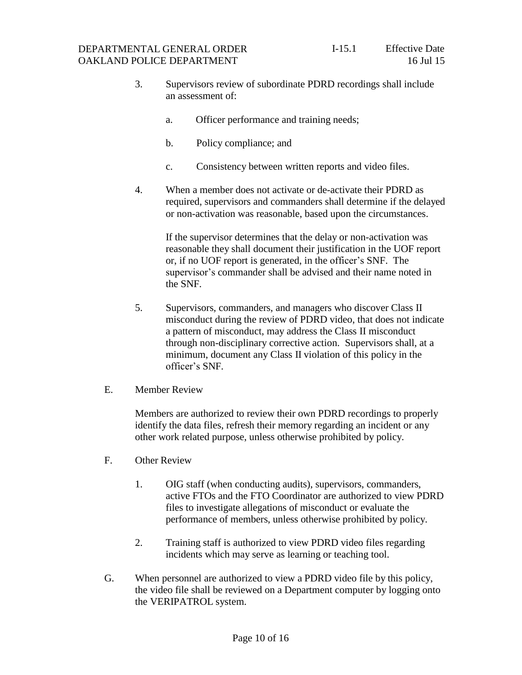- 3. Supervisors review of subordinate PDRD recordings shall include an assessment of:
	- a. Officer performance and training needs;
	- b. Policy compliance; and
	- c. Consistency between written reports and video files.
- 4. When a member does not activate or de-activate their PDRD as required, supervisors and commanders shall determine if the delayed or non-activation was reasonable, based upon the circumstances.

If the supervisor determines that the delay or non-activation was reasonable they shall document their justification in the UOF report or, if no UOF report is generated, in the officer's SNF. The supervisor's commander shall be advised and their name noted in the SNF.

- 5. Supervisors, commanders, and managers who discover Class II misconduct during the review of PDRD video, that does not indicate a pattern of misconduct, may address the Class II misconduct through non-disciplinary corrective action. Supervisors shall, at a minimum, document any Class II violation of this policy in the officer's SNF.
- E. Member Review

Members are authorized to review their own PDRD recordings to properly identify the data files, refresh their memory regarding an incident or any other work related purpose, unless otherwise prohibited by policy.

- F. Other Review
	- 1. OIG staff (when conducting audits), supervisors, commanders, active FTOs and the FTO Coordinator are authorized to view PDRD files to investigate allegations of misconduct or evaluate the performance of members, unless otherwise prohibited by policy.
	- 2. Training staff is authorized to view PDRD video files regarding incidents which may serve as learning or teaching tool.
- G. When personnel are authorized to view a PDRD video file by this policy, the video file shall be reviewed on a Department computer by logging onto the VERIPATROL system.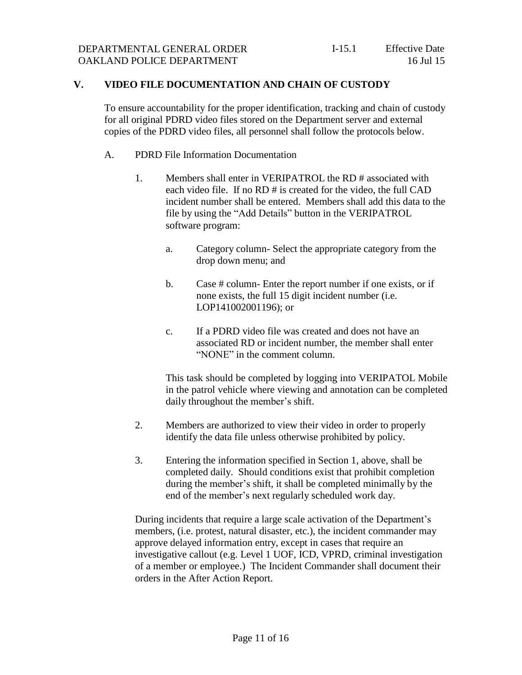#### **V. VIDEO FILE DOCUMENTATION AND CHAIN OF CUSTODY**

To ensure accountability for the proper identification, tracking and chain of custody for all original PDRD video files stored on the Department server and external copies of the PDRD video files, all personnel shall follow the protocols below.

- A. PDRD File Information Documentation
	- 1. Members shall enter in VERIPATROL the RD # associated with each video file. If no RD # is created for the video, the full CAD incident number shall be entered. Members shall add this data to the file by using the "Add Details" button in the VERIPATROL software program:
		- a. Category column- Select the appropriate category from the drop down menu; and
		- b. Case # column- Enter the report number if one exists, or if none exists, the full 15 digit incident number (i.e. LOP141002001196); or
		- c. If a PDRD video file was created and does not have an associated RD or incident number, the member shall enter "NONE" in the comment column.

This task should be completed by logging into VERIPATOL Mobile in the patrol vehicle where viewing and annotation can be completed daily throughout the member's shift.

- 2. Members are authorized to view their video in order to properly identify the data file unless otherwise prohibited by policy.
- 3. Entering the information specified in Section 1, above, shall be completed daily. Should conditions exist that prohibit completion during the member's shift, it shall be completed minimally by the end of the member's next regularly scheduled work day.

During incidents that require a large scale activation of the Department's members, (i.e. protest, natural disaster, etc.), the incident commander may approve delayed information entry, except in cases that require an investigative callout (e.g. Level 1 UOF, ICD, VPRD, criminal investigation of a member or employee.) The Incident Commander shall document their orders in the After Action Report.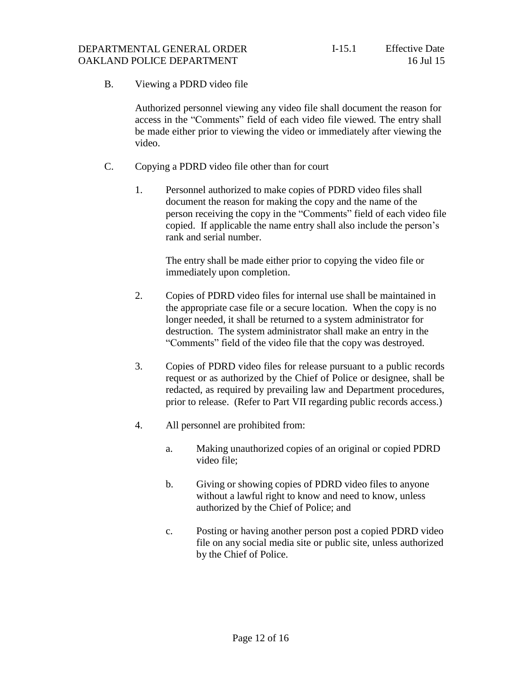### B. Viewing a PDRD video file

Authorized personnel viewing any video file shall document the reason for access in the "Comments" field of each video file viewed. The entry shall be made either prior to viewing the video or immediately after viewing the video.

- C. Copying a PDRD video file other than for court
	- 1. Personnel authorized to make copies of PDRD video files shall document the reason for making the copy and the name of the person receiving the copy in the "Comments" field of each video file copied. If applicable the name entry shall also include the person's rank and serial number.

The entry shall be made either prior to copying the video file or immediately upon completion.

- 2. Copies of PDRD video files for internal use shall be maintained in the appropriate case file or a secure location. When the copy is no longer needed, it shall be returned to a system administrator for destruction. The system administrator shall make an entry in the "Comments" field of the video file that the copy was destroyed.
- 3. Copies of PDRD video files for release pursuant to a public records request or as authorized by the Chief of Police or designee, shall be redacted, as required by prevailing law and Department procedures, prior to release. (Refer to Part VII regarding public records access.)
- 4. All personnel are prohibited from:
	- a. Making unauthorized copies of an original or copied PDRD video file;
	- b. Giving or showing copies of PDRD video files to anyone without a lawful right to know and need to know, unless authorized by the Chief of Police; and
	- c. Posting or having another person post a copied PDRD video file on any social media site or public site, unless authorized by the Chief of Police.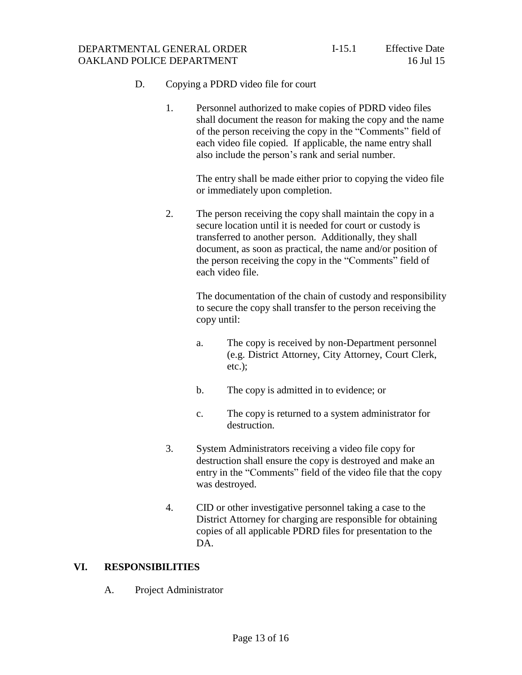#### DEPARTMENTAL GENERAL ORDER OAKLAND POLICE DEPARTMENT

## D. Copying a PDRD video file for court

1. Personnel authorized to make copies of PDRD video files shall document the reason for making the copy and the name of the person receiving the copy in the "Comments" field of each video file copied. If applicable, the name entry shall also include the person's rank and serial number.

> The entry shall be made either prior to copying the video file or immediately upon completion.

2. The person receiving the copy shall maintain the copy in a secure location until it is needed for court or custody is transferred to another person. Additionally, they shall document, as soon as practical, the name and/or position of the person receiving the copy in the "Comments" field of each video file.

> The documentation of the chain of custody and responsibility to secure the copy shall transfer to the person receiving the copy until:

- a. The copy is received by non-Department personnel (e.g. District Attorney, City Attorney, Court Clerk, etc.);
- b. The copy is admitted in to evidence; or
- c. The copy is returned to a system administrator for destruction.
- 3. System Administrators receiving a video file copy for destruction shall ensure the copy is destroyed and make an entry in the "Comments" field of the video file that the copy was destroyed.
- 4. CID or other investigative personnel taking a case to the District Attorney for charging are responsible for obtaining copies of all applicable PDRD files for presentation to the DA.

#### **VI. RESPONSIBILITIES**

A. Project Administrator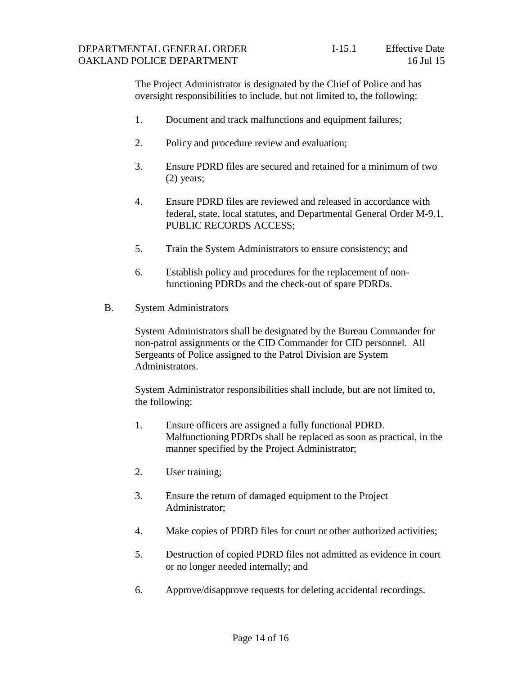The Project Administrator is designated by the Chief of Police and has oversight responsibilities to include, but not limited to, the following:

- 1. Document and track malfunctions and equipment failures;
- 2. Policy and procedure review and evaluation;
- 3. Ensure PDRD files are secured and retained for a minimum of two (2) years;
- 4. Ensure PDRD files are reviewed and released in accordance with federal, state, local statutes, and Departmental General Order M-9.1, PUBLIC RECORDS ACCESS;
- 5. Train the System Administrators to ensure consistency; and
- 6. Establish policy and procedures for the replacement of nonfunctioning PDRDs and the check-out of spare PDRDs.
- B. System Administrators

System Administrators shall be designated by the Bureau Commander for non-patrol assignments or the CID Commander for CID personnel. All Sergeants of Police assigned to the Patrol Division are System Administrators.

System Administrator responsibilities shall include, but are not limited to, the following:

- 1. Ensure officers are assigned a fully functional PDRD. Malfunctioning PDRDs shall be replaced as soon as practical, in the manner specified by the Project Administrator;
- 2. User training;
- 3. Ensure the return of damaged equipment to the Project Administrator;
- 4. Make copies of PDRD files for court or other authorized activities;
- 5. Destruction of copied PDRD files not admitted as evidence in court or no longer needed internally; and
- 6. Approve/disapprove requests for deleting accidental recordings.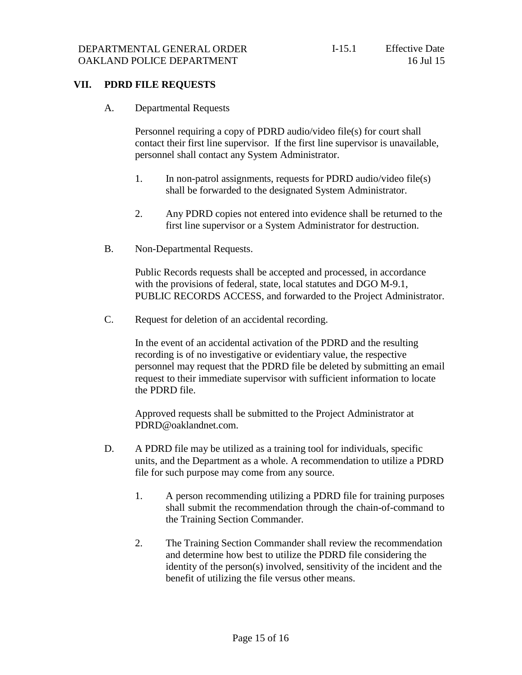### **VII. PDRD FILE REQUESTS**

A. Departmental Requests

Personnel requiring a copy of PDRD audio/video file(s) for court shall contact their first line supervisor. If the first line supervisor is unavailable, personnel shall contact any System Administrator.

- 1. In non-patrol assignments, requests for PDRD audio/video file(s) shall be forwarded to the designated System Administrator.
- 2. Any PDRD copies not entered into evidence shall be returned to the first line supervisor or a System Administrator for destruction.
- B. Non-Departmental Requests.

Public Records requests shall be accepted and processed, in accordance with the provisions of federal, state, local statutes and DGO M-9.1, PUBLIC RECORDS ACCESS, and forwarded to the Project Administrator.

C. Request for deletion of an accidental recording.

In the event of an accidental activation of the PDRD and the resulting recording is of no investigative or evidentiary value, the respective personnel may request that the PDRD file be deleted by submitting an email request to their immediate supervisor with sufficient information to locate the PDRD file.

Approved requests shall be submitted to the Project Administrator a[t](mailto:PDRD@oaklandnet.com) [PDRD@oaklandnet.com.](mailto:PDRD@oaklandnet.com)

- D. A PDRD file may be utilized as a training tool for individuals, specific units, and the Department as a whole. A recommendation to utilize a PDRD file for such purpose may come from any source.
	- 1. A person recommending utilizing a PDRD file for training purposes shall submit the recommendation through the chain-of-command to the Training Section Commander.
	- 2. The Training Section Commander shall review the recommendation and determine how best to utilize the PDRD file considering the identity of the person(s) involved, sensitivity of the incident and the benefit of utilizing the file versus other means.